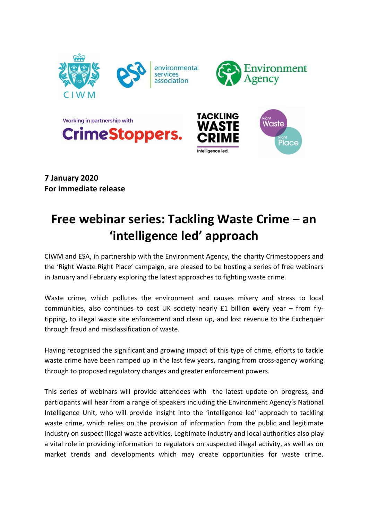

7 January 2020 For immediate release

## Free webinar series: Tackling Waste Crime – an 'intelligence led' approach

CIWM and ESA, in partnership with the Environment Agency, the charity Crimestoppers and the 'Right Waste Right Place' campaign, are pleased to be hosting a series of free webinars in January and February exploring the latest approaches to fighting waste crime.

Waste crime, which pollutes the environment and causes misery and stress to local communities, also continues to cost UK society nearly £1 billion every year – from flytipping, to illegal waste site enforcement and clean up, and lost revenue to the Exchequer through fraud and misclassification of waste.

Having recognised the significant and growing impact of this type of crime, efforts to tackle waste crime have been ramped up in the last few years, ranging from cross-agency working through to proposed regulatory changes and greater enforcement powers.

This series of webinars will provide attendees with the latest update on progress, and participants will hear from a range of speakers including the Environment Agency's National Intelligence Unit, who will provide insight into the 'intelligence led' approach to tackling waste crime, which relies on the provision of information from the public and legitimate industry on suspect illegal waste activities. Legitimate industry and local authorities also play a vital role in providing information to regulators on suspected illegal activity, as well as on market trends and developments which may create opportunities for waste crime.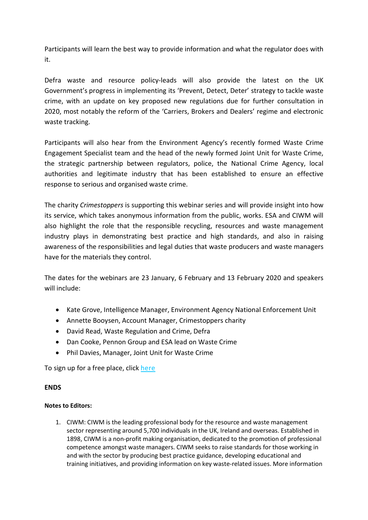Participants will learn the best way to provide information and what the regulator does with it.

Defra waste and resource policy-leads will also provide the latest on the UK Government's progress in implementing its 'Prevent, Detect, Deter' strategy to tackle waste crime, with an update on key proposed new regulations due for further consultation in 2020, most notably the reform of the 'Carriers, Brokers and Dealers' regime and electronic waste tracking.

Participants will also hear from the Environment Agency's recently formed Waste Crime Engagement Specialist team and the head of the newly formed Joint Unit for Waste Crime, the strategic partnership between regulators, police, the National Crime Agency, local authorities and legitimate industry that has been established to ensure an effective response to serious and organised waste crime.

The charity *Crimestoppers* is supporting this webinar series and will provide insight into how its service, which takes anonymous information from the public, works. ESA and CIWM will also highlight the role that the responsible recycling, resources and waste management industry plays in demonstrating best practice and high standards, and also in raising awareness of the responsibilities and legal duties that waste producers and waste managers have for the materials they control.

The dates for the webinars are 23 January, 6 February and 13 February 2020 and speakers will include:

- Kate Grove, Intelligence Manager, Environment Agency National Enforcement Unit
- Annette Booysen, Account Manager, Crimestoppers charity
- David Read, Waste Regulation and Crime, Defra
- Dan Cooke, Pennon Group and ESA lead on Waste Crime
- Phil Davies, Manager, Joint Unit for Waste Crime

To sign up for a free place, click here

## ENDS

## Notes to Editors:

1. CIWM: CIWM is the leading professional body for the resource and waste management sector representing around 5,700 individuals in the UK, Ireland and overseas. Established in 1898, CIWM is a non-profit making organisation, dedicated to the promotion of professional competence amongst waste managers. CIWM seeks to raise standards for those working in and with the sector by producing best practice guidance, developing educational and training initiatives, and providing information on key waste-related issues. More information